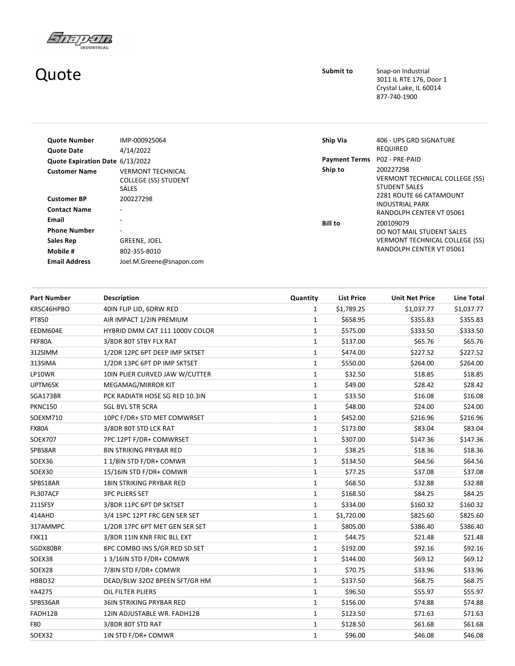

## Quote

Submit to Snap-on Industrial 3011 IL RTE 176, Door 1 Crystal Lake, IL 60014 877‐740‐1900

| <b>Quote Number</b>                       | IMP-000925064                                                           | Ship Via             | 406 - UPS GRD SIGNATURE                                                    |
|-------------------------------------------|-------------------------------------------------------------------------|----------------------|----------------------------------------------------------------------------|
| <b>Quote Date</b>                         | 4/14/2022                                                               |                      | REQUIRED                                                                   |
| Quote Expiration Date 6/13/2022           |                                                                         | <b>Payment Terms</b> | P02 - PRE-PAID                                                             |
| <b>Customer Name</b>                      | <b>VERMONT TECHNICAL</b><br><b>COLLEGE (SS) STUDENT</b><br><b>SALES</b> | Ship to              | 200227298<br><b>VERMONT TECHNICAL COLLEGE (SS)</b><br><b>STUDENT SALES</b> |
| <b>Customer BP</b><br><b>Contact Name</b> | 200227298<br>۰                                                          |                      | 2281 ROUTE 66 CATAMOUNT<br>INDUSTRIAL PARK<br>RANDOLPH CENTER VT 05061     |
| Email<br><b>Phone Number</b>              | -<br>$\overline{\phantom{a}}$                                           | Bill to              | 200109079<br>DO NOT MAIL STUDENT SALES                                     |
| Sales Rep                                 | GREENE, JOEL                                                            |                      | <b>VERMONT TECHNICAL COLLEGE (SS)</b>                                      |
| Mobile #                                  | 802-355-8010                                                            |                      | RANDOLPH CENTER VT 05061                                                   |
| <b>Email Address</b>                      | Joel.M.Greene@snapon.com                                                |                      |                                                                            |

| <b>Part Number</b> | <b>Description</b>              | Quantity     | <b>List Price</b> | <b>Unit Net Price</b> | <b>Line Total</b> |
|--------------------|---------------------------------|--------------|-------------------|-----------------------|-------------------|
| KRSC46HPBO         | 40IN FLIP LID, 6DRW RED         | $\mathbf{1}$ | \$1,789.25        | \$1,037.77            | \$1,037.77        |
| PT850              | AIR IMPACT 1/2IN PREMIUM        | $\mathbf{1}$ | \$658.95          | \$355.83              | \$355.83          |
| EEDM604E           | HYBRID DMM CAT 111 1000V COLOR  | $\mathbf{1}$ | \$575.00          | \$333.50              | \$333.50          |
| FKF80A             | 3/8DR 80T STBY FLX RAT          | $\mathbf{1}$ | \$137.00          | \$65.76               | \$65.76           |
| 312SIMM            | 1/2DR 12PC 6PT DEEP IMP SKTSET  | $\mathbf{1}$ | \$474.00          | \$227.52              | \$227.52          |
| 313SIMA            | 1/2DR 13PC 6PT DP IMP SKTSET    | $\mathbf{1}$ | \$550.00          | \$264.00              | \$264.00          |
| LP10WR             | 10IN PLIER CURVED JAW W/CUTTER  | $\mathbf 1$  | \$32.50           | \$18.85               | \$18.85           |
| UPTM65K            | MEGAMAG/MIRROR KIT              | $\mathbf{1}$ | \$49.00           | \$28.42               | \$28.42           |
| SGA173BR           | PCK RADIATR HOSE SG RED 10.3IN  | $\mathbf{1}$ | \$33.50           | \$16.08               | \$16.08           |
| <b>PKNC150</b>     | <b>SGL BVL STR SCRA</b>         | $\mathbf{1}$ | \$48.00           | \$24.00               | \$24.00           |
| SOEXM710           | 10PC F/DR+ STD MET COMWRSET     | $\mathbf{1}$ | \$452.00          | \$216.96              | \$216.96          |
| <b>FX80A</b>       | 3/8DR 80T STD LCK RAT           | $\mathbf{1}$ | \$173.00          | \$83.04               | \$83.04           |
| <b>SOEX707</b>     | 7PC 12PT F/DR+ COMWRSET         | 1            | \$307.00          | \$147.36              | \$147.36          |
| SPBS8AR            | <b>8IN STRIKING PRYBAR RED</b>  | $\mathbf{1}$ | \$38.25           | \$18.36               | \$18.36           |
| SOEX36             | 11/8IN STD F/DR+ COMWR          | $\mathbf{1}$ | \$134.50          | \$64.56               | \$64.56           |
| SOEX30             | 15/16IN STD F/DR+ COMWR         | 1            | \$77.25           | \$37.08               | \$37.08           |
| SPBS18AR           | <b>18IN STRIKING PRYBAR RED</b> | $\mathbf{1}$ | \$68.50           | \$32.88               | \$32.88           |
| PL307ACF           | <b>3PC PLIERS SET</b>           | $\mathbf{1}$ | \$168.50          | \$84.25               | \$84.25           |
| 211SFSY            | 3/8DR 11PC 6PT DP SKTSET        | $\mathbf{1}$ | \$334.00          | \$160.32              | \$160.32          |
| 414AHD             | 3/4 15PC 12PT FRC GEN SER SET   | 1            | \$1,720.00        | \$825.60              | \$825.60          |
| 317AMMPC           | 1/2DR 17PC 6PT MET GEN SER SET  | $\mathbf{1}$ | \$805.00          | \$386.40              | \$386.40          |
| <b>FXK11</b>       | 3/8DR 11IN KNR FRIC BLL EXT     | $\mathbf{1}$ | \$44.75           | \$21.48               | \$21.48           |
| SGDX80BR           | 8PC COMBO INS S/GR RED SD SET   | 1            | \$192.00          | \$92.16               | \$92.16           |
| SOEX38             | 13/16IN STD F/DR+ COMWR         | $\mathbf{1}$ | \$144.00          | \$69.12               | \$69.12           |
| SOEX28             | 7/8IN STD F/DR+ COMWR           | $\mathbf{1}$ | \$70.75           | \$33.96               | \$33.96           |
| HBBD32             | DEAD/BLW 32OZ BPEEN SFT/GR HM   | 1            | \$137.50          | \$68.75               | \$68.75           |
| YA4275             | <b>OIL FILTER PLIERS</b>        | $\mathbf{1}$ | \$96.50           | \$55.97               | \$55.97           |
| SPBS36AR           | 36IN STRIKING PRYBAR RED        | $\mathbf{1}$ | \$156.00          | \$74.88               | \$74.88           |
| FADH12B            | 12IN ADJUSTABLE WR. FADH12B     | 1            | \$123.50          | \$71.63               | \$71.63           |
| F80                | 3/8DR 80T STD RAT               | 1            | \$128.50          | \$61.68               | \$61.68           |
| SOEX32             | 1IN STD F/DR+ COMWR             | $\mathbf{1}$ | \$96.00           | \$46.08               | \$46.08           |